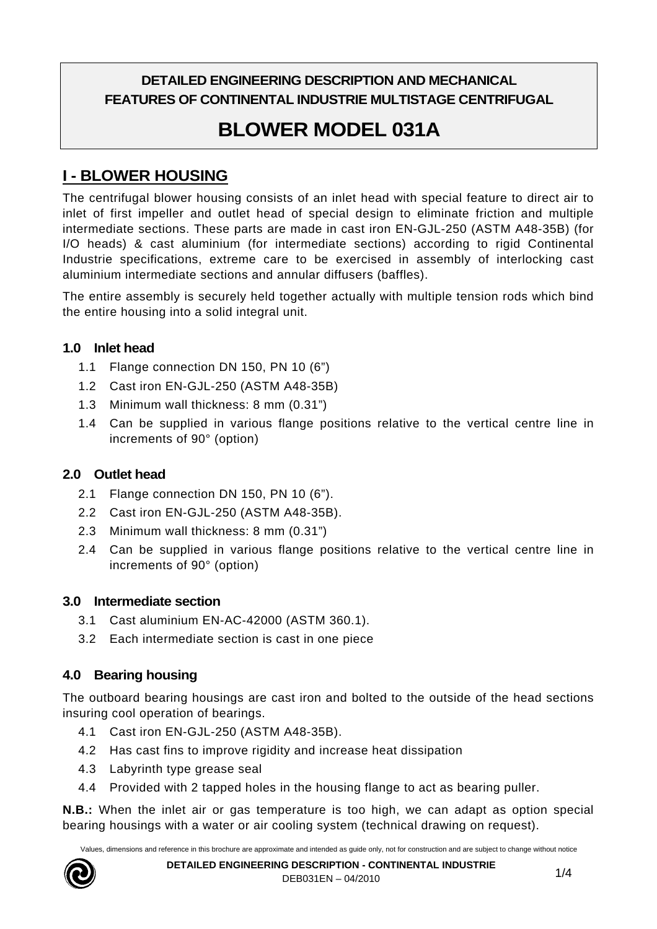# **DETAILED ENGINEERING DESCRIPTION AND MECHANICAL FEATURES OF CONTINENTAL INDUSTRIE MULTISTAGE CENTRIFUGAL**

# **BLOWER MODEL 031A**

# **I - BLOWER HOUSING**

The centrifugal blower housing consists of an inlet head with special feature to direct air to inlet of first impeller and outlet head of special design to eliminate friction and multiple intermediate sections. These parts are made in cast iron EN-GJL-250 (ASTM A48-35B) (for I/O heads) & cast aluminium (for intermediate sections) according to rigid Continental Industrie specifications, extreme care to be exercised in assembly of interlocking cast aluminium intermediate sections and annular diffusers (baffles).

The entire assembly is securely held together actually with multiple tension rods which bind the entire housing into a solid integral unit.

#### **1.0 Inlet head**

- 1.1 Flange connection DN 150, PN 10 (6")
- 1.2 Cast iron EN-GJL-250 (ASTM A48-35B)
- 1.3 Minimum wall thickness: 8 mm (0.31")
- 1.4 Can be supplied in various flange positions relative to the vertical centre line in increments of 90° (option)

## **2.0 Outlet head**

- 2.1 Flange connection DN 150, PN 10 (6").
- 2.2 Cast iron EN-GJL-250 (ASTM A48-35B).
- 2.3 Minimum wall thickness: 8 mm (0.31")
- 2.4 Can be supplied in various flange positions relative to the vertical centre line in increments of 90° (option)

## **3.0 Intermediate section**

- 3.1 Cast aluminium EN-AC-42000 (ASTM 360.1).
- 3.2 Each intermediate section is cast in one piece

## **4.0 Bearing housing**

The outboard bearing housings are cast iron and bolted to the outside of the head sections insuring cool operation of bearings.

- 4.1 Cast iron EN-GJL-250 (ASTM A48-35B).
- 4.2 Has cast fins to improve rigidity and increase heat dissipation
- 4.3 Labyrinth type grease seal
- 4.4 Provided with 2 tapped holes in the housing flange to act as bearing puller.

**N.B.:** When the inlet air or gas temperature is too high, we can adapt as option special bearing housings with a water or air cooling system (technical drawing on request).

Values, dimensions and reference in this brochure are approximate and intended as guide only, not for construction and are subject to change without notice

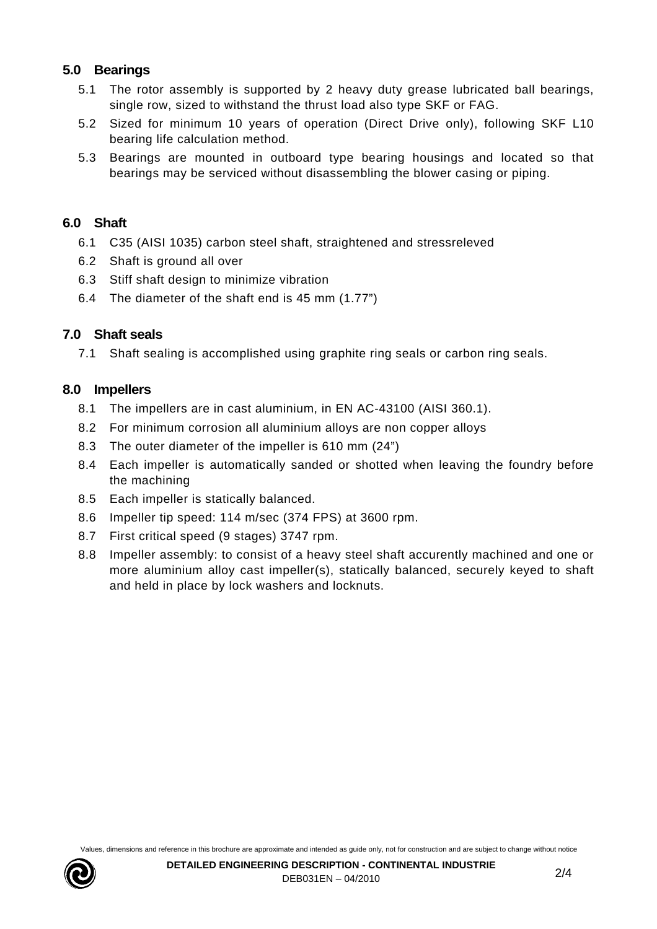#### **5.0 Bearings**

- 5.1 The rotor assembly is supported by 2 heavy duty grease lubricated ball bearings, single row, sized to withstand the thrust load also type SKF or FAG.
- 5.2 Sized for minimum 10 years of operation (Direct Drive only), following SKF L10 bearing life calculation method.
- 5.3 Bearings are mounted in outboard type bearing housings and located so that bearings may be serviced without disassembling the blower casing or piping.

#### **6.0 Shaft**

- 6.1 C35 (AISI 1035) carbon steel shaft, straightened and stressreleved
- 6.2 Shaft is ground all over
- 6.3 Stiff shaft design to minimize vibration
- 6.4 The diameter of the shaft end is 45 mm (1.77")

## **7.0 Shaft seals**

7.1 Shaft sealing is accomplished using graphite ring seals or carbon ring seals.

#### **8.0 Impellers**

- 8.1 The impellers are in cast aluminium, in EN AC-43100 (AISI 360.1).
- 8.2 For minimum corrosion all aluminium alloys are non copper alloys
- 8.3 The outer diameter of the impeller is 610 mm (24")
- 8.4 Each impeller is automatically sanded or shotted when leaving the foundry before the machining
- 8.5 Each impeller is statically balanced.
- 8.6 Impeller tip speed: 114 m/sec (374 FPS) at 3600 rpm.
- 8.7 First critical speed (9 stages) 3747 rpm.
- 8.8 Impeller assembly: to consist of a heavy steel shaft accurently machined and one or more aluminium alloy cast impeller(s), statically balanced, securely keyed to shaft and held in place by lock washers and locknuts.

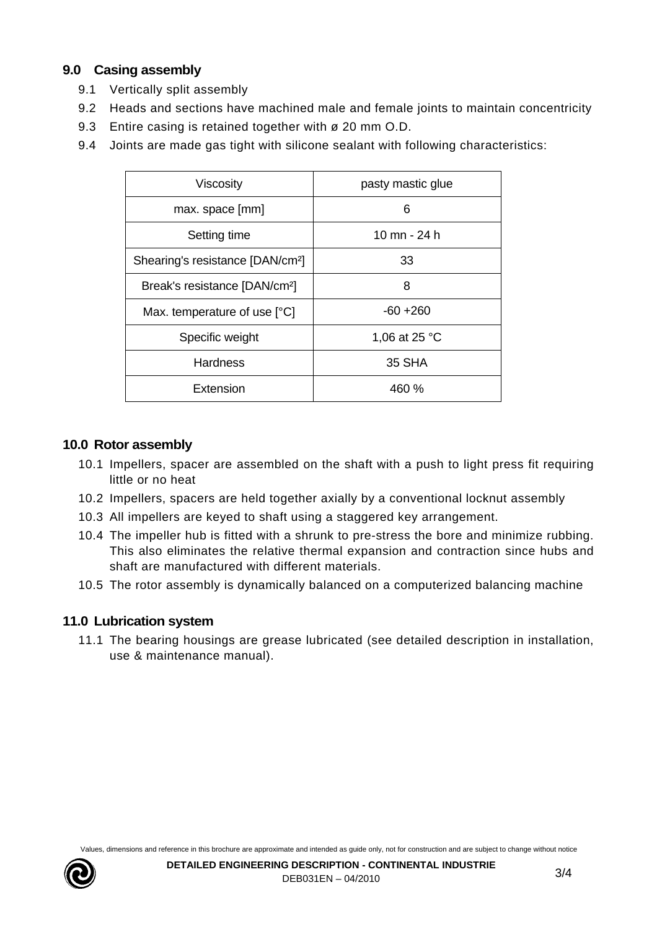## **9.0 Casing assembly**

- 9.1 Vertically split assembly
- 9.2 Heads and sections have machined male and female joints to maintain concentricity
- 9.3 Entire casing is retained together with ø 20 mm O.D.
- 9.4 Joints are made gas tight with silicone sealant with following characteristics:

| Viscosity                                    | pasty mastic glue |
|----------------------------------------------|-------------------|
| max. space [mm]                              | 6                 |
| Setting time                                 | 10 mn - 24 h      |
| Shearing's resistance [DAN/cm <sup>2</sup> ] | 33                |
| Break's resistance [DAN/cm <sup>2</sup> ]    | 8                 |
| Max. temperature of use [°C]                 | $-60 + 260$       |
| Specific weight                              | 1,06 at 25 °C     |
| <b>Hardness</b>                              | 35 SHA            |
| Extension                                    | 460 %             |

## **10.0 Rotor assembly**

- 10.1 Impellers, spacer are assembled on the shaft with a push to light press fit requiring little or no heat
- 10.2 Impellers, spacers are held together axially by a conventional locknut assembly
- 10.3 All impellers are keyed to shaft using a staggered key arrangement.
- 10.4 The impeller hub is fitted with a shrunk to pre-stress the bore and minimize rubbing. This also eliminates the relative thermal expansion and contraction since hubs and shaft are manufactured with different materials.
- 10.5 The rotor assembly is dynamically balanced on a computerized balancing machine

## **11.0 Lubrication system**

11.1 The bearing housings are grease lubricated (see detailed description in installation, use & maintenance manual).